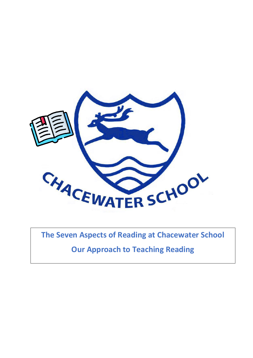

**The Seven Aspects of Reading at Chacewater School**

**Our Approach to Teaching Reading**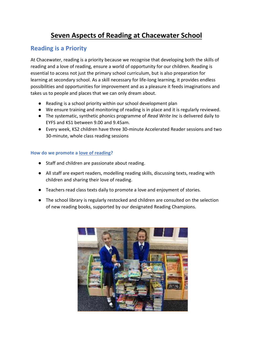# **Seven Aspects of Reading at Chacewater School**

### **Reading is a Priority**

At Chacewater, reading is a priority because we recognise that developing both the skills of reading and a love of reading, ensure a world of opportunity for our children. Reading is essential to access not just the primary school curriculum, but is also preparation for learning at secondary school. As a skill necessary for life-long learning, it provides endless possibilities and opportunities for improvement and as a pleasure it feeds imaginations and takes us to people and places that we can only dream about.

- Reading is a school priority within our school development plan
- We ensure training and monitoring of reading is in place and it is regularly reviewed.
- The systematic, synthetic phonics programme of *Read Write Inc* is delivered daily to EYFS and KS1 between 9.00 and 9.45am.
- Every week, KS2 children have three 30-minute Accelerated Reader sessions and two 30-minute, whole class reading sessions

#### **How do we promote a love of reading?**

- Staff and children are passionate about reading.
- All staff are expert readers, modelling reading skills, discussing texts, reading with children and sharing their love of reading.
- Teachers read class texts daily to promote a love and enjoyment of stories.
- The school library is regularly restocked and children are consulted on the selection of new reading books, supported by our designated Reading Champions.

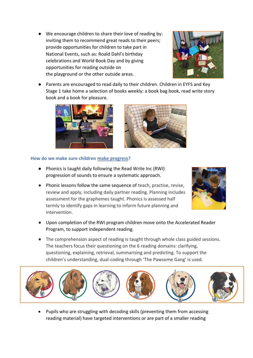● We encourage children to share their love of reading by: inviting them to recommend great reads to their peers; provide opportunities for children to take part in National Events, such as: Roald Dahl's birthday celebrations and World Book Day and by giving opportunities for reading outside on the playground or the other outside areas.



Parents are encouraged to read daily to their children. Children in EYFS and Key Stage 1 take home a selection of books weekly: a book bag book, read write story book and a book for pleasure.





#### **How do we make sure children make progress?**

- Phonics is taught daily following the Read Write Inc (RWI) progression of sounds to ensure a systematic approach.
- Phonic lessons follow the same sequence of teach, practise, revise, review and apply, including daily partner reading. Planning includes assessment for the graphemes taught. Phonics is assessed half termly to identify gaps in learning to inform future planning and intervention.



- Upon completion of the RWI program children move onto the Accelerated Reader Program, to support independent reading.
- The comprehension aspect of reading is taught through whole class guided sessions. The teachers focus their questioning on the 6 reading domains: clarifying, questioning, explaining, retrieval, summarising and predicting. To support the children's understanding, dual-coding through 'The Pawsome Gang' is used.



• Pupils who are struggling with decoding skills (preventing them from accessing reading material) have targeted interventions or are part of a smaller reading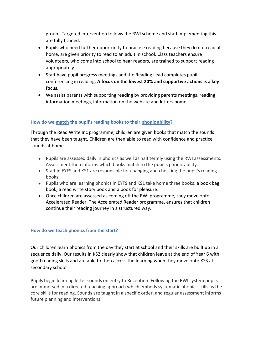group. Targeted intervention follows the RWI scheme and staff implementing this are fully trained.

- Pupils who need further opportunity to practise reading because they do not read at home, are given priority to read to an adult in school. Class teachers ensure volunteers, who come into school to hear readers, are trained to support reading appropriately.
- Staff have pupil progress meetings and the Reading Lead completes pupil conferencing in reading. **A focus on the lowest 20% and supportive actions is a key focus.**
- We assist parents with supporting reading by providing parents meetings, reading information meetings, information on the website and letters home.

#### **How do we match the pupil's reading books to their phonic ability?**

Through the Read Write Inc programme, children are given books that match the sounds that they have been taught. Children are then able to read with confidence and practice sounds at home.

- Pupils are assessed daily in phonics as well as half termly using the RWI assessments. Assessment then informs which books match to the pupil's phonic ability.
- Staff in EYFS and KS1 are responsible for changing and checking the pupil's reading books.
- Pupils who are learning phonics in EYFS and KS1 take home three books: a book bag book, a read write story book and a book for pleasure.
- Once children are assessed as coming off the RWI programme, they move onto Accelerated Reader. The Accelerated Reader programme, ensures that children continue their reading journey in a structured way.

#### **How do we teach phonics from the start?**

Our children learn phonics from the day they start at school and their skills are built up in a sequence daily. Our results in KS2 clearly show that children leave at the end of Year 6 with good reading skills and are able to then access the learning when they move onto KS3 at secondary school.

Pupils begin learning letter sounds on entry to Reception. Following the RWI system pupils are immersed in a directed teaching approach which embeds systematic phonics skills as the core skills for reading. Sounds are taught in a specific order, and regular assessment informs future planning and interventions.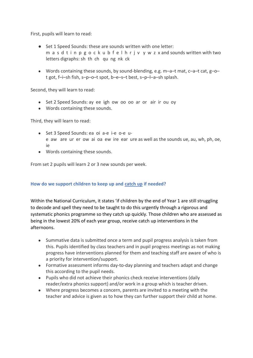First, pupils will learn to read:

- Set 1 Speed Sounds: these are sounds written with one letter: m a s d t i n p g o c k u b f e l h r j v y w z x and sounds written with two letters digraphs: sh th ch qu ng nk ck
- Words containing these sounds, by sound-blending, e.g.  $m-a-t$  mat,  $c-a-t$  cat,  $g-a-t$ t got, f–i–sh fish, s–p–o–t spot, b–e–s–t best, s–p–l–a–sh splash.

Second, they will learn to read:

- Set 2 Speed Sounds: ay ee igh ow oo oo ar or air ir ou oy
- Words containing these sounds.

Third, they will learn to read:

- Set 3 Speed Sounds: ea oi a-e i-e o-e ue aw are ur er ow ai oa ew ire ear ure as well as the sounds ue, au, wh, ph, oe, ie
- Words containing these sounds.

From set 2 pupils will learn 2 or 3 new sounds per week.

#### **How do we support children to keep up and catch up if needed?**

Within the National Curriculum, it states 'if children by the end of Year 1 are still struggling to decode and spell they need to be taught to do this urgently through a rigorous and systematic phonics programme so they catch up quickly. Those children who are assessed as being in the lowest 20% of each year group, receive catch up interventions in the afternoons.

- Summative data is submitted once a term and pupil progress analysis is taken from this. Pupils identified by class teachers and in pupil progress meetings as not making progress have interventions planned for them and teaching staff are aware of who is a priority for intervention/support.
- Formative assessment informs day-to-day planning and teachers adapt and change this according to the pupil needs.
- Pupils who did not achieve their phonics check receive interventions (daily reader/extra phonics support) and/or work in a group which is teacher driven.
- Where progress becomes a concern, parents are invited to a meeting with the teacher and advice is given as to how they can further support their child at home.